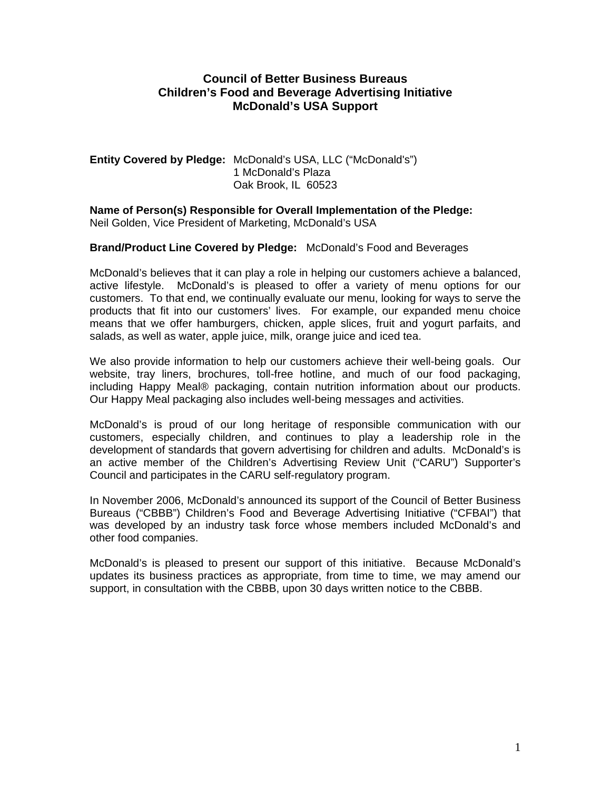## **Council of Better Business Bureaus Children's Food and Beverage Advertising Initiative McDonald's USA Support**

### **Entity Covered by Pledge:** McDonald's USA, LLC ("McDonald's") 1 McDonald's Plaza Oak Brook, IL 60523

**Name of Person(s) Responsible for Overall Implementation of the Pledge:**  Neil Golden, Vice President of Marketing, McDonald's USA

#### **Brand/Product Line Covered by Pledge:** McDonald's Food and Beverages

McDonald's believes that it can play a role in helping our customers achieve a balanced, active lifestyle. McDonald's is pleased to offer a variety of menu options for our customers. To that end, we continually evaluate our menu, looking for ways to serve the products that fit into our customers' lives. For example, our expanded menu choice means that we offer hamburgers, chicken, apple slices, fruit and yogurt parfaits, and salads, as well as water, apple juice, milk, orange juice and iced tea.

We also provide information to help our customers achieve their well-being goals. Our website, tray liners, brochures, toll-free hotline, and much of our food packaging, including Happy Meal® packaging, contain nutrition information about our products. Our Happy Meal packaging also includes well-being messages and activities.

McDonald's is proud of our long heritage of responsible communication with our customers, especially children, and continues to play a leadership role in the development of standards that govern advertising for children and adults. McDonald's is an active member of the Children's Advertising Review Unit ("CARU") Supporter's Council and participates in the CARU self-regulatory program.

In November 2006, McDonald's announced its support of the Council of Better Business Bureaus ("CBBB") Children's Food and Beverage Advertising Initiative ("CFBAI") that was developed by an industry task force whose members included McDonald's and other food companies.

McDonald's is pleased to present our support of this initiative. Because McDonald's updates its business practices as appropriate, from time to time, we may amend our support, in consultation with the CBBB, upon 30 days written notice to the CBBB.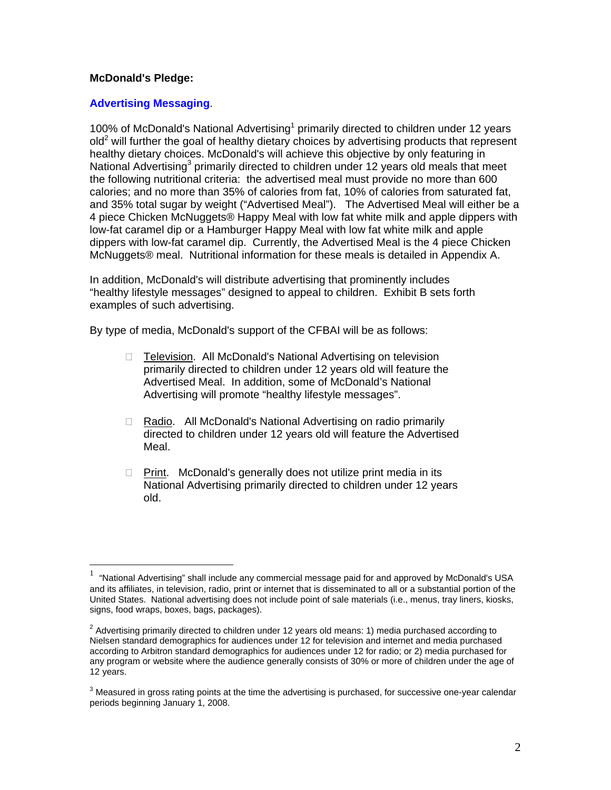#### **McDonald's Pledge:**

 $\overline{a}$ 

#### **Advertising Messaging**.

[1](#page-1-0)00% of McDonald's National Advertising<sup>1</sup> primarily directed to children under 12 years  $\delta$ old<sup>[2](#page-1-1)</sup> will further the goal of healthy dietary choices by advertising products that represent healthy dietary choices. McDonald's will achieve this objective by only featuring in National Advertising<sup>[3](#page-1-2)</sup> primarily directed to children under 12 years old meals that meet the following nutritional criteria: the advertised meal must provide no more than 600 calories; and no more than 35% of calories from fat, 10% of calories from saturated fat, and 35% total sugar by weight ("Advertised Meal"). The Advertised Meal will either be a 4 piece Chicken McNuggets® Happy Meal with low fat white milk and apple dippers with low-fat caramel dip or a Hamburger Happy Meal with low fat white milk and apple dippers with low-fat caramel dip. Currently, the Advertised Meal is the 4 piece Chicken McNuggets® meal. Nutritional information for these meals is detailed in Appendix A.

In addition, McDonald's will distribute advertising that prominently includes "healthy lifestyle messages" designed to appeal to children. Exhibit B sets forth examples of such advertising.

By type of media, McDonald's support of the CFBAI will be as follows:

- □ Television. All McDonald's National Advertising on television primarily directed to children under 12 years old will feature the Advertised Meal. In addition, some of McDonald's National Advertising will promote "healthy lifestyle messages".
- □ Radio. All McDonald's National Advertising on radio primarily directed to children under 12 years old will feature the Advertised Meal.
- $\Box$  Print. McDonald's generally does not utilize print media in its National Advertising primarily directed to children under 12 years old.

<span id="page-1-0"></span><sup>1</sup> "National Advertising" shall include any commercial message paid for and approved by McDonald's USA and its affiliates, in television, radio, print or internet that is disseminated to all or a substantial portion of the United States. National advertising does not include point of sale materials (i.e., menus, tray liners, kiosks, signs, food wraps, boxes, bags, packages).

<span id="page-1-1"></span> $^2$  Advertising primarily directed to children under 12 years old means: 1) media purchased according to Nielsen standard demographics for audiences under 12 for television and internet and media purchased according to Arbitron standard demographics for audiences under 12 for radio; or 2) media purchased for any program or website where the audience generally consists of 30% or more of children under the age of 12 years.

<span id="page-1-2"></span> $3$  Measured in gross rating points at the time the advertising is purchased, for successive one-year calendar periods beginning January 1, 2008.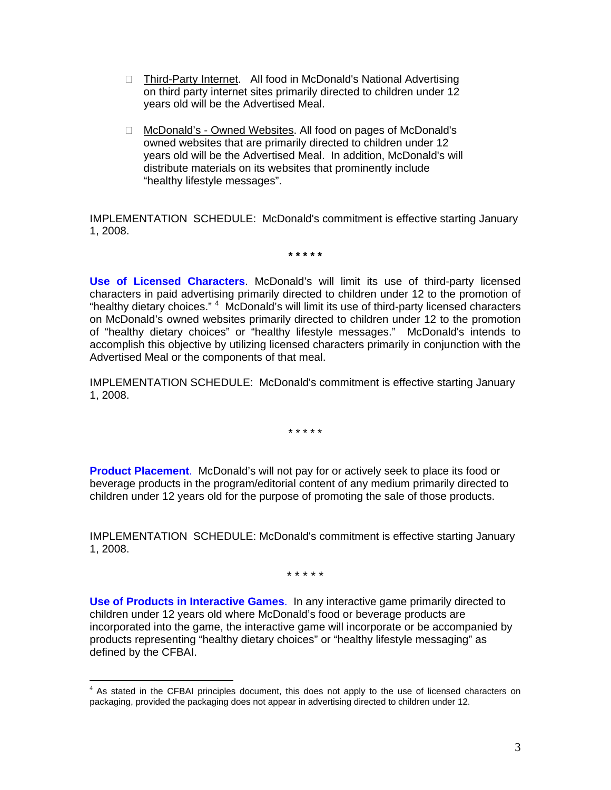- □ Third-Party Internet. All food in McDonald's National Advertising on third party internet sites primarily directed to children under 12 years old will be the Advertised Meal.
- □ McDonald's Owned Websites. All food on pages of McDonald's owned websites that are primarily directed to children under 12 years old will be the Advertised Meal. In addition, McDonald's will distribute materials on its websites that prominently include "healthy lifestyle messages".

IMPLEMENTATION SCHEDULE: McDonald's commitment is effective starting January 1, 2008.

**\* \* \* \* \*** 

**Use of Licensed Characters**. McDonald's will limit its use of third-party licensed characters in paid advertising primarily directed to children under 12 to the promotion of "healthy dietary choices." <sup>[4](#page-2-0)</sup> McDonald's will limit its use of third-party licensed characters on McDonald's owned websites primarily directed to children under 12 to the promotion of "healthy dietary choices" or "healthy lifestyle messages." McDonald's intends to accomplish this objective by utilizing licensed characters primarily in conjunction with the Advertised Meal or the components of that meal.

IMPLEMENTATION SCHEDULE: McDonald's commitment is effective starting January 1, 2008.

\* \* \* \* \*

**Product Placement**. McDonald's will not pay for or actively seek to place its food or beverage products in the program/editorial content of any medium primarily directed to children under 12 years old for the purpose of promoting the sale of those products.

IMPLEMENTATION SCHEDULE: McDonald's commitment is effective starting January 1, 2008.

\* \* \* \* \*

**Use of Products in Interactive Games**. In any interactive game primarily directed to children under 12 years old where McDonald's food or beverage products are incorporated into the game, the interactive game will incorporate or be accompanied by products representing "healthy dietary choices" or "healthy lifestyle messaging" as defined by the CFBAI.

 $\overline{a}$ 

<span id="page-2-0"></span><sup>&</sup>lt;sup>4</sup> As stated in the CFBAI principles document, this does not apply to the use of licensed characters on packaging, provided the packaging does not appear in advertising directed to children under 12.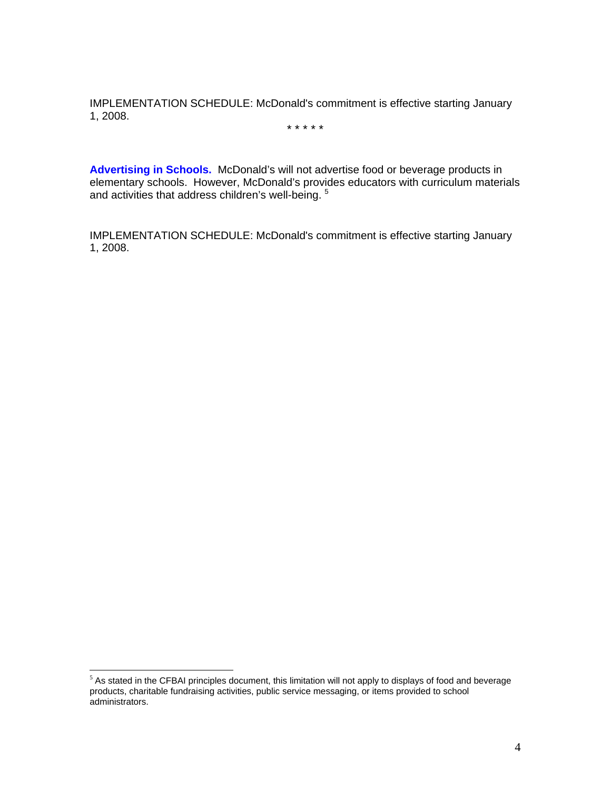IMPLEMENTATION SCHEDULE: McDonald's commitment is effective starting January 1, 2008.

\* \* \* \* \*

**Advertising in Schools.** McDonald's will not advertise food or beverage products in elementary schools. However, McDonald's provides educators with curriculum materials and activities that address children's well-being.<sup>[5](#page-3-0)</sup>

IMPLEMENTATION SCHEDULE: McDonald's commitment is effective starting January 1, 2008.

 $\overline{a}$ 

<span id="page-3-0"></span> $5$  As stated in the CFBAI principles document, this limitation will not apply to displays of food and beverage products, charitable fundraising activities, public service messaging, or items provided to school administrators.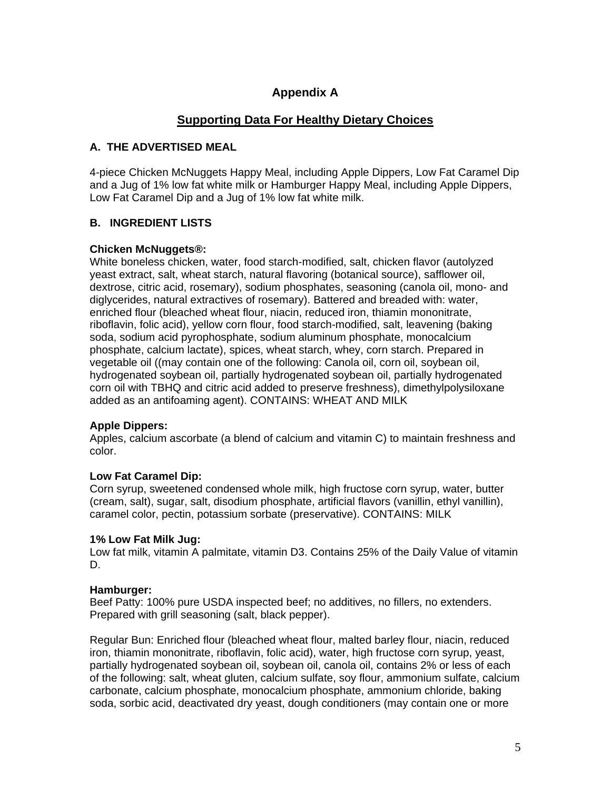# **Appendix A**

## **Supporting Data For Healthy Dietary Choices**

## **A. THE ADVERTISED MEAL**

4-piece Chicken McNuggets Happy Meal, including Apple Dippers, Low Fat Caramel Dip and a Jug of 1% low fat white milk or Hamburger Happy Meal, including Apple Dippers, Low Fat Caramel Dip and a Jug of 1% low fat white milk.

## **B. INGREDIENT LISTS**

#### **Chicken McNuggets®:**

White boneless chicken, water, food starch-modified, salt, chicken flavor (autolyzed yeast extract, salt, wheat starch, natural flavoring (botanical source), safflower oil, dextrose, citric acid, rosemary), sodium phosphates, seasoning (canola oil, mono- and diglycerides, natural extractives of rosemary). Battered and breaded with: water, enriched flour (bleached wheat flour, niacin, reduced iron, thiamin mononitrate, riboflavin, folic acid), yellow corn flour, food starch-modified, salt, leavening (baking soda, sodium acid pyrophosphate, sodium aluminum phosphate, monocalcium phosphate, calcium lactate), spices, wheat starch, whey, corn starch. Prepared in vegetable oil ((may contain one of the following: Canola oil, corn oil, soybean oil, hydrogenated soybean oil, partially hydrogenated soybean oil, partially hydrogenated corn oil with TBHQ and citric acid added to preserve freshness), dimethylpolysiloxane added as an antifoaming agent). CONTAINS: WHEAT AND MILK

### **Apple Dippers:**

Apples, calcium ascorbate (a blend of calcium and vitamin C) to maintain freshness and color.

### **Low Fat Caramel Dip:**

Corn syrup, sweetened condensed whole milk, high fructose corn syrup, water, butter (cream, salt), sugar, salt, disodium phosphate, artificial flavors (vanillin, ethyl vanillin), caramel color, pectin, potassium sorbate (preservative). CONTAINS: MILK

#### **1% Low Fat Milk Jug:**

Low fat milk, vitamin A palmitate, vitamin D3. Contains 25% of the Daily Value of vitamin D.

#### **Hamburger:**

Beef Patty: 100% pure USDA inspected beef; no additives, no fillers, no extenders. Prepared with grill seasoning (salt, black pepper).

Regular Bun: Enriched flour (bleached wheat flour, malted barley flour, niacin, reduced iron, thiamin mononitrate, riboflavin, folic acid), water, high fructose corn syrup, yeast, partially hydrogenated soybean oil, soybean oil, canola oil, contains 2% or less of each of the following: salt, wheat gluten, calcium sulfate, soy flour, ammonium sulfate, calcium carbonate, calcium phosphate, monocalcium phosphate, ammonium chloride, baking soda, sorbic acid, deactivated dry yeast, dough conditioners (may contain one or more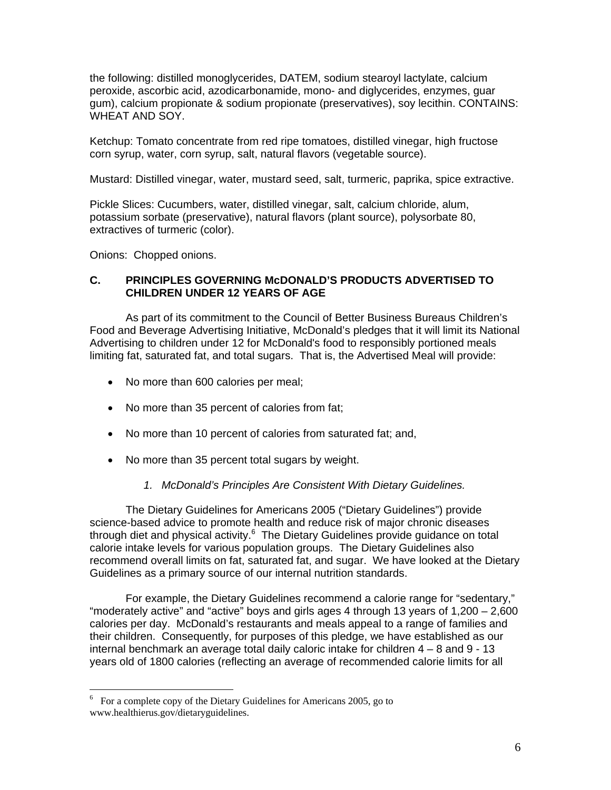the following: distilled monoglycerides, DATEM, sodium stearoyl lactylate, calcium peroxide, ascorbic acid, azodicarbonamide, mono- and diglycerides, enzymes, guar gum), calcium propionate & sodium propionate (preservatives), soy lecithin. CONTAINS: WHEAT AND SOY.

Ketchup: Tomato concentrate from red ripe tomatoes, distilled vinegar, high fructose corn syrup, water, corn syrup, salt, natural flavors (vegetable source).

Mustard: Distilled vinegar, water, mustard seed, salt, turmeric, paprika, spice extractive.

Pickle Slices: Cucumbers, water, distilled vinegar, salt, calcium chloride, alum, potassium sorbate (preservative), natural flavors (plant source), polysorbate 80, extractives of turmeric (color).

Onions: Chopped onions.

 $\overline{a}$ 

#### **C. PRINCIPLES GOVERNING McDONALD'S PRODUCTS ADVERTISED TO CHILDREN UNDER 12 YEARS OF AGE**

As part of its commitment to the Council of Better Business Bureaus Children's Food and Beverage Advertising Initiative, McDonald's pledges that it will limit its National Advertising to children under 12 for McDonald's food to responsibly portioned meals limiting fat, saturated fat, and total sugars. That is, the Advertised Meal will provide:

- No more than 600 calories per meal;
- No more than 35 percent of calories from fat;
- No more than 10 percent of calories from saturated fat; and,
- No more than 35 percent total sugars by weight.
	- *1. McDonald's Principles Are Consistent With Dietary Guidelines.*

The Dietary Guidelines for Americans 2005 ("Dietary Guidelines") provide science-based advice to promote health and reduce risk of major chronic diseases through diet and physical activity.<sup>[6](#page-5-0)</sup> The Dietary Guidelines provide guidance on total calorie intake levels for various population groups. The Dietary Guidelines also recommend overall limits on fat, saturated fat, and sugar. We have looked at the Dietary Guidelines as a primary source of our internal nutrition standards.

For example, the Dietary Guidelines recommend a calorie range for "sedentary," "moderately active" and "active" boys and girls ages 4 through 13 years of 1,200 – 2,600 calories per day. McDonald's restaurants and meals appeal to a range of families and their children. Consequently, for purposes of this pledge, we have established as our internal benchmark an average total daily caloric intake for children 4 – 8 and 9 - 13 years old of 1800 calories (reflecting an average of recommended calorie limits for all

<span id="page-5-0"></span><sup>6</sup> For a complete copy of the Dietary Guidelines for Americans 2005, go to www.healthierus.gov/dietaryguidelines.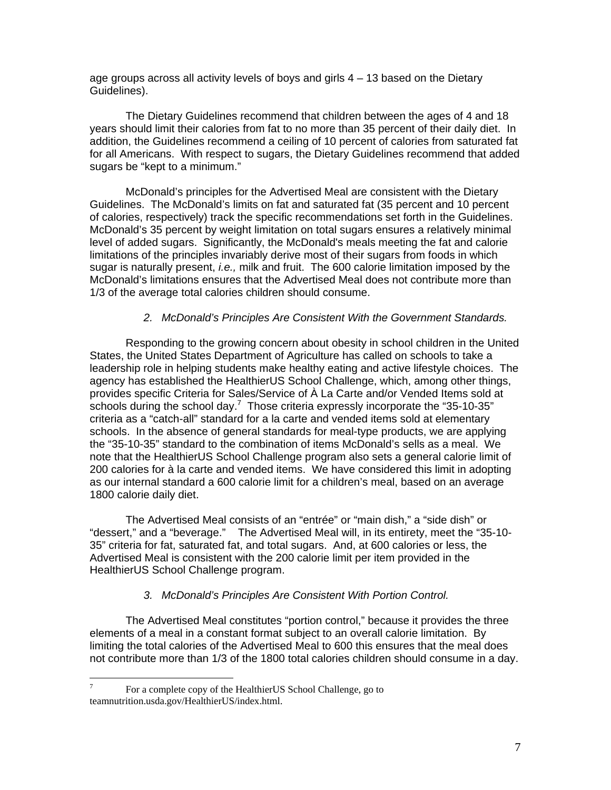age groups across all activity levels of boys and girls 4 – 13 based on the Dietary Guidelines).

The Dietary Guidelines recommend that children between the ages of 4 and 18 years should limit their calories from fat to no more than 35 percent of their daily diet. In addition, the Guidelines recommend a ceiling of 10 percent of calories from saturated fat for all Americans. With respect to sugars, the Dietary Guidelines recommend that added sugars be "kept to a minimum."

McDonald's principles for the Advertised Meal are consistent with the Dietary Guidelines. The McDonald's limits on fat and saturated fat (35 percent and 10 percent of calories, respectively) track the specific recommendations set forth in the Guidelines. McDonald's 35 percent by weight limitation on total sugars ensures a relatively minimal level of added sugars. Significantly, the McDonald's meals meeting the fat and calorie limitations of the principles invariably derive most of their sugars from foods in which sugar is naturally present, *i.e.,* milk and fruit. The 600 calorie limitation imposed by the McDonald's limitations ensures that the Advertised Meal does not contribute more than 1/3 of the average total calories children should consume.

#### *2. McDonald's Principles Are Consistent With the Government Standards.*

Responding to the growing concern about obesity in school children in the United States, the United States Department of Agriculture has called on schools to take a leadership role in helping students make healthy eating and active lifestyle choices. The agency has established the HealthierUS School Challenge, which, among other things, provides specific Criteria for Sales/Service of À La Carte and/or Vended Items sold at schools during the school day.<sup>[7](#page-6-0)</sup> Those criteria expressly incorporate the "35-10-35" criteria as a "catch-all" standard for a la carte and vended items sold at elementary schools. In the absence of general standards for meal-type products, we are applying the "35-10-35" standard to the combination of items McDonald's sells as a meal. We note that the HealthierUS School Challenge program also sets a general calorie limit of 200 calories for à la carte and vended items. We have considered this limit in adopting as our internal standard a 600 calorie limit for a children's meal, based on an average 1800 calorie daily diet.

The Advertised Meal consists of an "entrée" or "main dish," a "side dish" or "dessert," and a "beverage." The Advertised Meal will, in its entirety, meet the "35-10- 35" criteria for fat, saturated fat, and total sugars. And, at 600 calories or less, the Advertised Meal is consistent with the 200 calorie limit per item provided in the HealthierUS School Challenge program.

#### *3. McDonald's Principles Are Consistent With Portion Control.*

The Advertised Meal constitutes "portion control," because it provides the three elements of a meal in a constant format subject to an overall calorie limitation. By limiting the total calories of the Advertised Meal to 600 this ensures that the meal does not contribute more than 1/3 of the 1800 total calories children should consume in a day.

<span id="page-6-0"></span><sup>-&</sup>lt;br>7 For a complete copy of the HealthierUS School Challenge, go to teamnutrition.usda.gov/HealthierUS/index.html.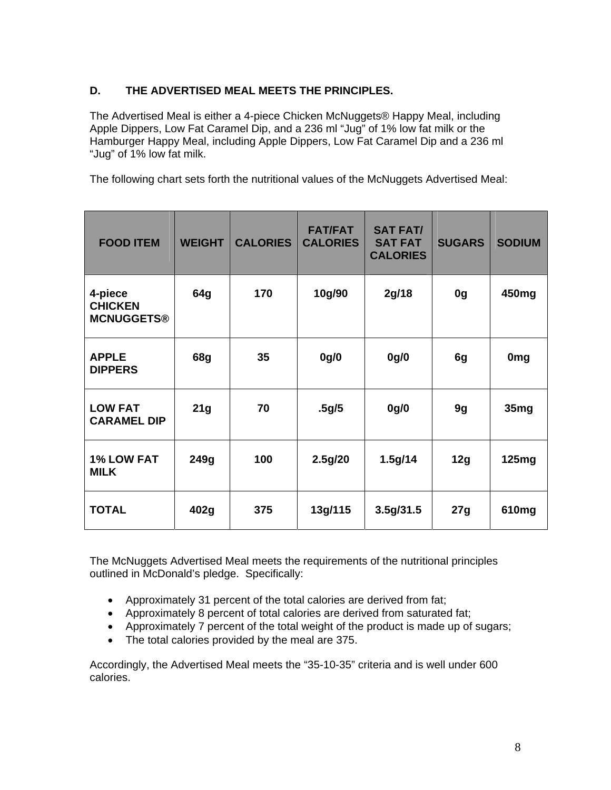## **D. THE ADVERTISED MEAL MEETS THE PRINCIPLES.**

The Advertised Meal is either a 4-piece Chicken McNuggets® Happy Meal, including Apple Dippers, Low Fat Caramel Dip, and a 236 ml "Jug" of 1% low fat milk or the Hamburger Happy Meal, including Apple Dippers, Low Fat Caramel Dip and a 236 ml "Jug" of 1% low fat milk.

The following chart sets forth the nutritional values of the McNuggets Advertised Meal:

| <b>FOOD ITEM</b>                               | <b>WEIGHT</b> | <b>CALORIES</b> | <b>FAT/FAT</b><br><b>CALORIES</b> | <b>SAT FAT/</b><br><b>SAT FAT</b><br><b>CALORIES</b> | <b>SUGARS</b>  | <b>SODIUM</b> |
|------------------------------------------------|---------------|-----------------|-----------------------------------|------------------------------------------------------|----------------|---------------|
| 4-piece<br><b>CHICKEN</b><br><b>MCNUGGETS®</b> | 64g           | 170             | 10g/90                            | 2g/18                                                | 0 <sub>g</sub> | 450mg         |
| <b>APPLE</b><br><b>DIPPERS</b>                 | <b>68g</b>    | 35              | 0g/0                              | 0g/0                                                 | 6g             | <b>Omg</b>    |
| <b>LOW FAT</b><br><b>CARAMEL DIP</b>           | 21g           | 70              | .5g/5                             | 0g/0                                                 | 9g             | 35mg          |
| <b>1% LOW FAT</b><br><b>MILK</b>               | 249g          | 100             | 2.5g/20                           | 1.5g/14                                              | 12g            | 125mg         |
| <b>TOTAL</b>                                   | 402g          | 375             | 13g/115                           | 3.5g/31.5                                            | 27g            | 610mg         |

The McNuggets Advertised Meal meets the requirements of the nutritional principles outlined in McDonald's pledge. Specifically:

- Approximately 31 percent of the total calories are derived from fat;
- Approximately 8 percent of total calories are derived from saturated fat;
- Approximately 7 percent of the total weight of the product is made up of sugars;
- The total calories provided by the meal are 375.

Accordingly, the Advertised Meal meets the "35-10-35" criteria and is well under 600 calories.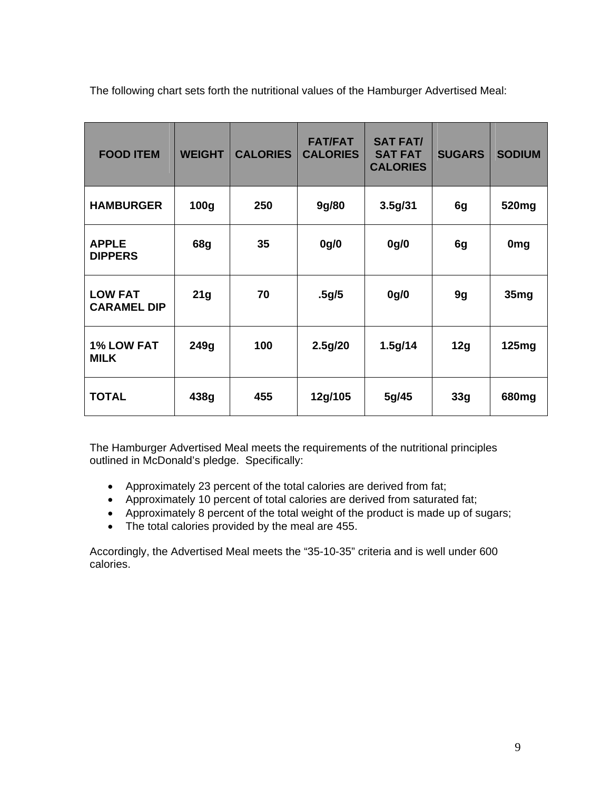The following chart sets forth the nutritional values of the Hamburger Advertised Meal:

| <b>FOOD ITEM</b>                     | <b>WEIGHT</b> | <b>CALORIES</b> | <b>FAT/FAT</b><br><b>CALORIES</b> | <b>SAT FAT/</b><br><b>SAT FAT</b><br><b>CALORIES</b> | <b>SUGARS</b> | <b>SODIUM</b>    |
|--------------------------------------|---------------|-----------------|-----------------------------------|------------------------------------------------------|---------------|------------------|
| <b>HAMBURGER</b>                     | 100g          | 250             | 9g/80                             | 3.5g/31                                              | 6g            | 520mg            |
| <b>APPLE</b><br><b>DIPPERS</b>       | 68g           | 35              | 0g/0                              | 0g/0                                                 | 6g            | 0 <sub>mg</sub>  |
| <b>LOW FAT</b><br><b>CARAMEL DIP</b> | 21g           | 70              | .5g/5                             | 0g/0                                                 | 9g            | 35 <sub>mg</sub> |
| <b>1% LOW FAT</b><br><b>MILK</b>     | 249g          | 100             | 2.5g/20                           | 1.5g/14                                              | 12g           | 125mg            |
| <b>TOTAL</b>                         | 438g          | 455             | 12g/105                           | 5g/45                                                | 33g           | 680mg            |

The Hamburger Advertised Meal meets the requirements of the nutritional principles outlined in McDonald's pledge. Specifically:

- Approximately 23 percent of the total calories are derived from fat;
- Approximately 10 percent of total calories are derived from saturated fat;
- Approximately 8 percent of the total weight of the product is made up of sugars;
- The total calories provided by the meal are 455.

Accordingly, the Advertised Meal meets the "35-10-35" criteria and is well under 600 calories.